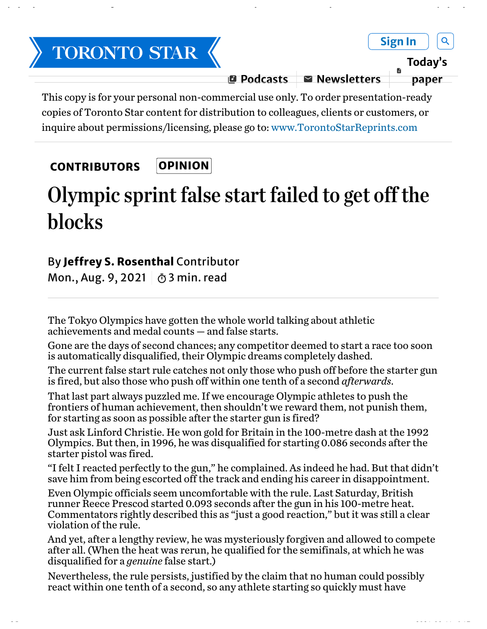

Olympic sprint false start failed to get off the blocks | The Star https://www.thestar.com/opinion/contributors/2021/08/09/olympic-sprint-...

This copy is for your personal non-commercial use only. To order presentation-ready copies of Toronto Star content for distribution to colleagues, clients or customers, or inquire about permissions/licensing, please go to: www.TorontoStarReprints.com

## OPINION **CONTRIBUTORS**

## Olympic sprint false start failed to get off the blocks

## By Jeffrey S. Rosenthal Contributor

Mon., Aug. 9, 2021  $\circ$  3 min. read

The Tokyo Olympics have gotten the whole world talking about athletic achievements and medal counts — and false starts.

Gone are the days of second chances; any competitor deemed to start a race too soon is automatically disqualified, their Olympic dreams completely dashed.

The current false start rule catches not only those who push off before the starter gun is fired, but also those who push off within one tenth of a second *afterwards*.

That last part always puzzled me. If we encourage Olympic athletes to push the frontiers of human achievement, then shouldn't we reward them, not punish them, for starting as soon as possible after the starter gun is fired?

Just ask Linford Christie. He won gold for Britain in the 100-metre dash at the 1992 Olympics. But then, in 1996, he was disqualified for starting 0.086 seconds after the starter pistol was fired.

"I felt I reacted perfectly to the gun," he complained. As indeed he had. But that didn't save him from being escorted off the track and ending his career in disappointment.

Even Olympic officials seem uncomfortable with the rule. Last Saturday, British runner Reece Prescod started 0.093 seconds after the gun in his 100-metre heat. Commentators rightly described this as "just a good reaction," but it was still a clear violation of the rule.

And yet, after a lengthy review, he was mysteriously forgiven and allowed to compete after all. (When the heat was rerun, he qualified for the semifinals, at which he was disqualified for a *genuine* false start.)

Nevertheless, the rule persists, justified by the claim that no human could possibly react within one tenth of a second, so any athlete starting so quickly must have